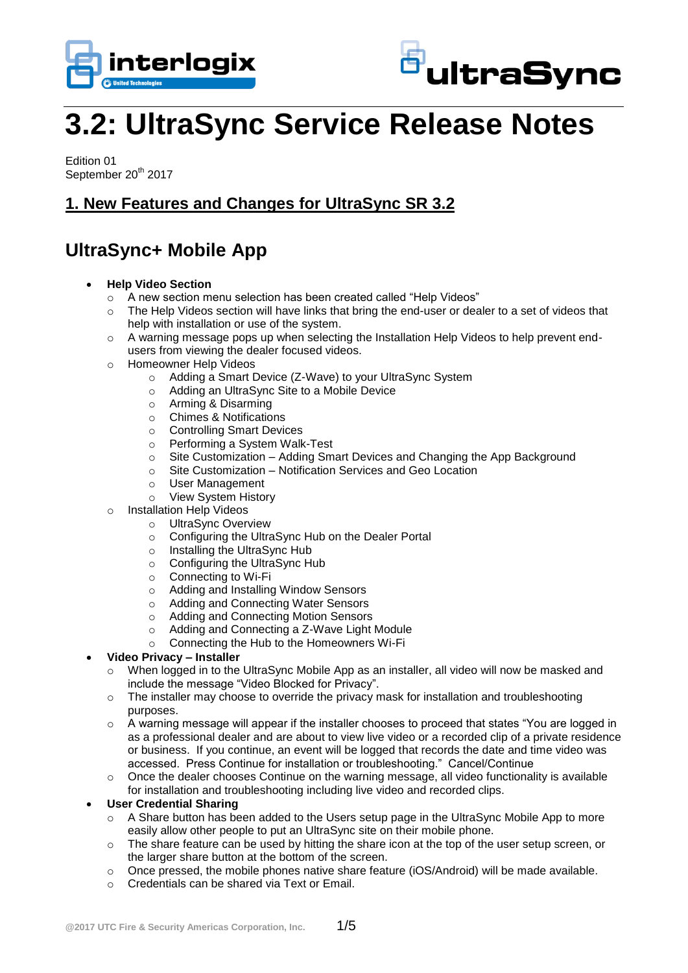



# **3.2: UltraSync Service Release Notes**

Edition 01 September 20<sup>th</sup> 2017

### **1. New Features and Changes for UltraSync SR 3.2**

# **UltraSync+ Mobile App**

- **Help Video Section**
	- o A new section menu selection has been created called "Help Videos"
	- o The Help Videos section will have links that bring the end-user or dealer to a set of videos that help with installation or use of the system.
	- $\circ$  A warning message pops up when selecting the Installation Help Videos to help prevent endusers from viewing the dealer focused videos.
	- o Homeowner Help Videos
		- o Adding a Smart Device (Z-Wave) to your UltraSync System
		- o Adding an UltraSync Site to a Mobile Device
		- o Arming & Disarming
		- o Chimes & Notifications
		- o Controlling Smart Devices
		- o Performing a System Walk-Test
		- $\circ$  Site Customization Adding Smart Devices and Changing the App Background
		- o Site Customization Notification Services and Geo Location
		- o User Management
		- o View System History
	- o Installation Help Videos
		- o UltraSync Overview
		- o Configuring the UltraSync Hub on the Dealer Portal
		- o Installing the UltraSync Hub
		- o Configuring the UltraSync Hub
		- o Connecting to Wi-Fi
		- o Adding and Installing Window Sensors
		- o Adding and Connecting Water Sensors
		- o Adding and Connecting Motion Sensors
		- o Adding and Connecting a Z-Wave Light Module
		- o Connecting the Hub to the Homeowners Wi-Fi

#### **Video Privacy – Installer**

- o When logged in to the UltraSync Mobile App as an installer, all video will now be masked and include the message "Video Blocked for Privacy".
- $\circ$  The installer may choose to override the privacy mask for installation and troubleshooting purposes.
- $\circ$  A warning message will appear if the installer chooses to proceed that states "You are logged in as a professional dealer and are about to view live video or a recorded clip of a private residence or business. If you continue, an event will be logged that records the date and time video was accessed. Press Continue for installation or troubleshooting." Cancel/Continue
- o Once the dealer chooses Continue on the warning message, all video functionality is available for installation and troubleshooting including live video and recorded clips.

#### **User Credential Sharing**

- $\circ$  A Share button has been added to the Users setup page in the UltraSync Mobile App to more easily allow other people to put an UltraSync site on their mobile phone.
- $\circ$  The share feature can be used by hitting the share icon at the top of the user setup screen, or the larger share button at the bottom of the screen.
- $\circ$  Once pressed, the mobile phones native share feature (iOS/Android) will be made available.
- o Credentials can be shared via Text or Email.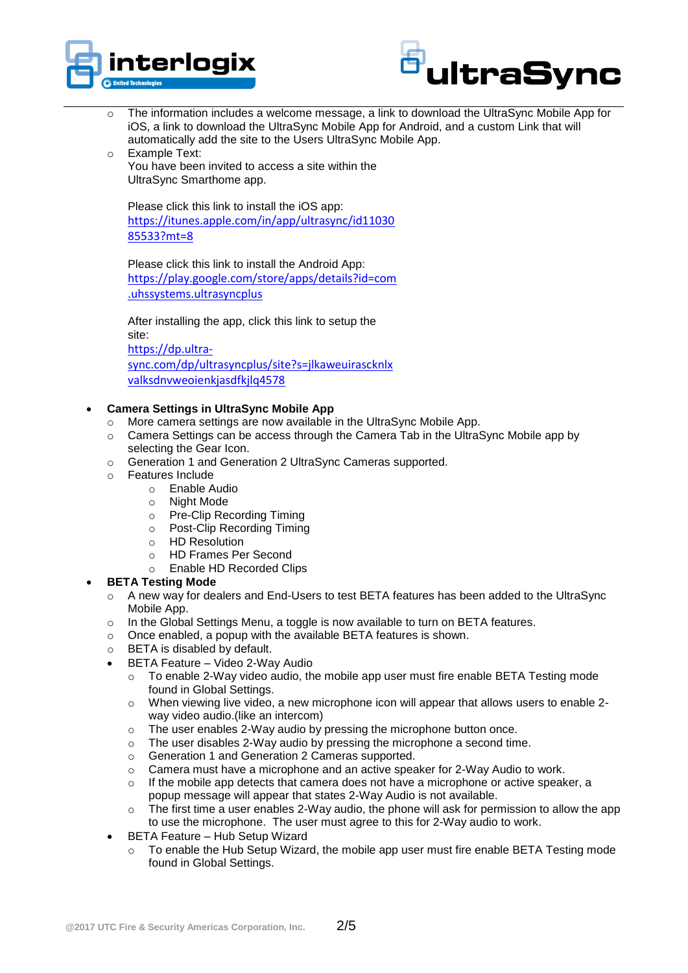



- $\circ$  The information includes a welcome message, a link to download the UltraSync Mobile App for iOS, a link to download the UltraSync Mobile App for Android, and a custom Link that will automatically add the site to the Users UltraSync Mobile App.
- o Example Text: You have been invited to access a site within the UltraSync Smarthome app.

Please click this link to install the iOS app: [https://itunes.apple.com/in/app/ultrasync/id11030](https://itunes.apple.com/in/app/ultrasync/id1103085533?mt=8) [85533?mt=8](https://itunes.apple.com/in/app/ultrasync/id1103085533?mt=8)

Please click this link to install the Android App: [https://play.google.com/store/apps/details?id=com](https://play.google.com/store/apps/details?id=com.uhssystems.ultrasyncplus) [.uhssystems.ultrasyncplus](https://play.google.com/store/apps/details?id=com.uhssystems.ultrasyncplus)

After installing the app, click this link to setup the site: [https://dp.ultra](https://dp.ultra-sync.com/dp/ultrasyncplus/site?s=jlkaweuirascknlxvalksdnvweoienkjasdfkjlq4578)[sync.com/dp/ultrasyncplus/site?s=jlkaweuirascknlx](https://dp.ultra-sync.com/dp/ultrasyncplus/site?s=jlkaweuirascknlxvalksdnvweoienkjasdfkjlq4578) [valksdnvweoienkjasdfkjlq4578](https://dp.ultra-sync.com/dp/ultrasyncplus/site?s=jlkaweuirascknlxvalksdnvweoienkjasdfkjlq4578)

#### **Camera Settings in UltraSync Mobile App**

- o More camera settings are now available in the UltraSync Mobile App.
- o Camera Settings can be access through the Camera Tab in the UltraSync Mobile app by selecting the Gear Icon.
- o Generation 1 and Generation 2 UltraSync Cameras supported.
- o Features Include
	- o Enable Audio
	- o Night Mode
	- o Pre-Clip Recording Timing
	- o Post-Clip Recording Timing
	- o HD Resolution
	- o HD Frames Per Second
	- o Enable HD Recorded Clips

#### **BETA Testing Mode**

- o A new way for dealers and End-Users to test BETA features has been added to the UltraSync Mobile App.
- $\circ$  In the Global Settings Menu, a toggle is now available to turn on BETA features.
- o Once enabled, a popup with the available BETA features is shown.
- o BETA is disabled by default.
- BETA Feature Video 2-Way Audio
	- o To enable 2-Way video audio, the mobile app user must fire enable BETA Testing mode found in Global Settings.
	- $\circ$  When viewing live video, a new microphone icon will appear that allows users to enable 2way video audio.(like an intercom)
	- o The user enables 2-Way audio by pressing the microphone button once.
	- $\circ$  The user disables 2-Way audio by pressing the microphone a second time.
	- o Generation 1 and Generation 2 Cameras supported.
	- $\circ$  Camera must have a microphone and an active speaker for 2-Way Audio to work.
	- $\circ$  If the mobile app detects that camera does not have a microphone or active speaker, a popup message will appear that states 2-Way Audio is not available.
	- $\circ$  The first time a user enables 2-Way audio, the phone will ask for permission to allow the app to use the microphone. The user must agree to this for 2-Way audio to work.
- BETA Feature Hub Setup Wizard
	- To enable the Hub Setup Wizard, the mobile app user must fire enable BETA Testing mode found in Global Settings.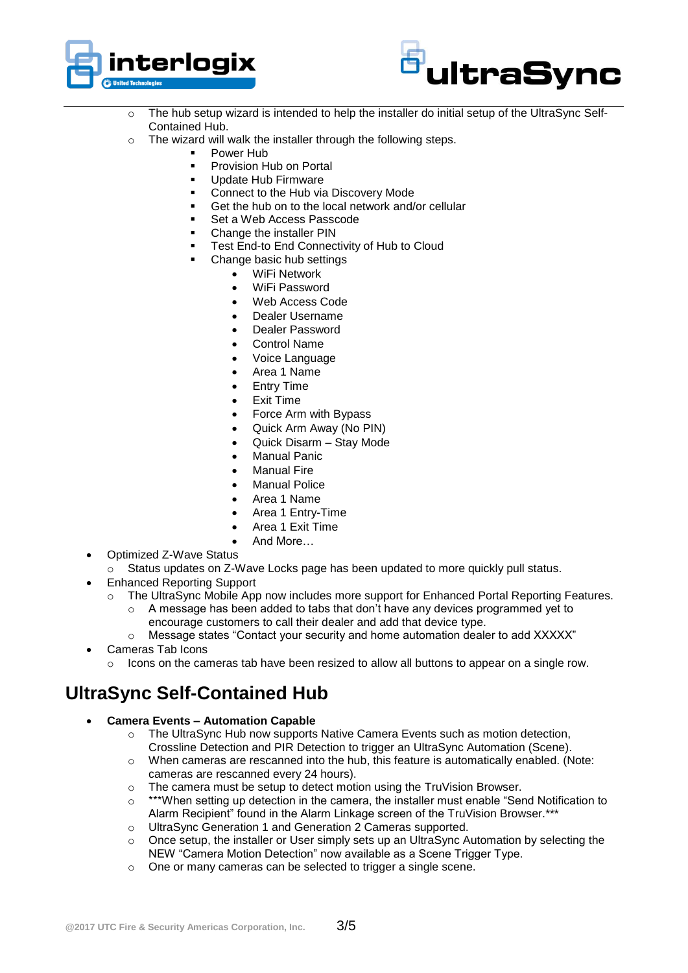



- o The hub setup wizard is intended to help the installer do initial setup of the UltraSync Self-Contained Hub.
- o The wizard will walk the installer through the following steps.
	- Power Hub
		- Provision Hub on Portal
		- Update Hub Firmware
		- Connect to the Hub via Discovery Mode
		- Get the hub on to the local network and/or cellular
		- Set a Web Access Passcode
		- Change the installer PIN
		- **Test End-to End Connectivity of Hub to Cloud**
		- Change basic hub settings
			- WiFi Network
			- WiFi Password
			- Web Access Code
			- Dealer Username
			- Dealer Password
			- Control Name
			- Voice Language
			- Area 1 Name
			- Entry Time
			- Exit Time
			- Force Arm with Bypass
			- Quick Arm Away (No PIN)
			- Quick Disarm Stay Mode
			- Manual Panic
			- Manual Fire
			- Manual Police
			- Area 1 Name
			- Area 1 Entry-Time
			- Area 1 Exit Time
			- And More…
- Optimized Z-Wave Status
	- Status updates on Z-Wave Locks page has been updated to more quickly pull status.
- Enhanced Reporting Support
	- The UltraSync Mobile App now includes more support for Enhanced Portal Reporting Features.
		- $\circ$  A message has been added to tabs that don't have any devices programmed yet to encourage customers to call their dealer and add that device type.
		- $\circ$  Message states "Contact your security and home automation dealer to add XXXXX"
- Cameras Tab Icons
	- o Icons on the cameras tab have been resized to allow all buttons to appear on a single row.

## **UltraSync Self-Contained Hub**

- **Camera Events – Automation Capable**
	- o The UltraSync Hub now supports Native Camera Events such as motion detection, Crossline Detection and PIR Detection to trigger an UltraSync Automation (Scene).
	- o When cameras are rescanned into the hub, this feature is automatically enabled. (Note: cameras are rescanned every 24 hours).
	- o The camera must be setup to detect motion using the TruVision Browser.
	- $\circ$  \*\*\*When setting up detection in the camera, the installer must enable "Send Notification to Alarm Recipient" found in the Alarm Linkage screen of the TruVision Browser.\*\*\*
	- o UltraSync Generation 1 and Generation 2 Cameras supported.
	- o Once setup, the installer or User simply sets up an UltraSync Automation by selecting the NEW "Camera Motion Detection" now available as a Scene Trigger Type.
	- o One or many cameras can be selected to trigger a single scene.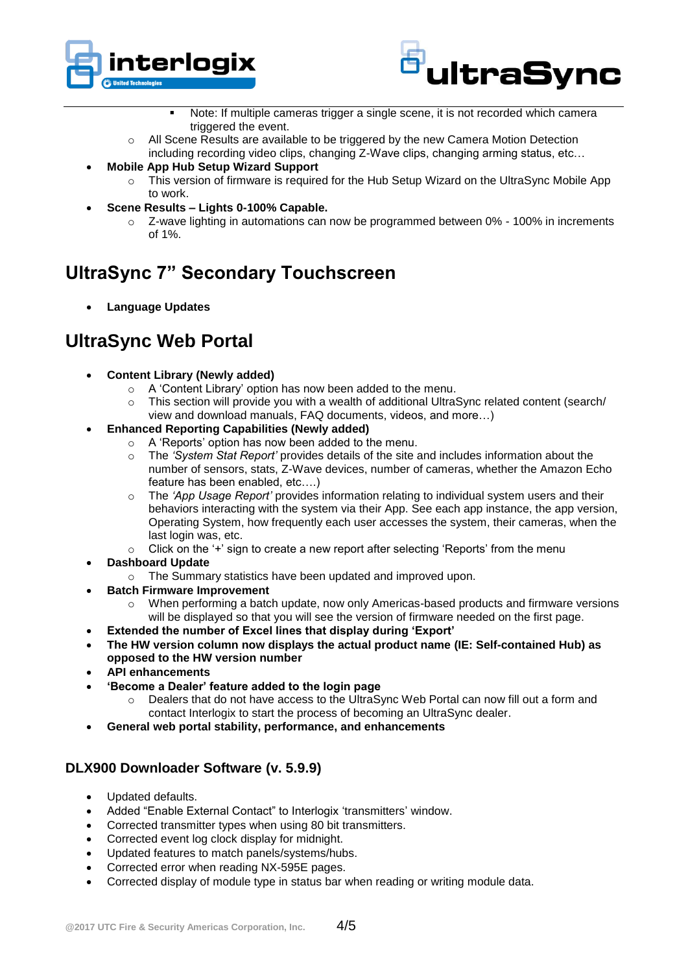



- Note: If multiple cameras trigger a single scene, it is not recorded which camera triggered the event.
- $\circ$  All Scene Results are available to be triggered by the new Camera Motion Detection including recording video clips, changing Z-Wave clips, changing arming status, etc…
- **Mobile App Hub Setup Wizard Support**
	- $\circ$  This version of firmware is required for the Hub Setup Wizard on the UltraSync Mobile App to work.
- **Scene Results – Lights 0-100% Capable.**
	- o Z-wave lighting in automations can now be programmed between 0% 100% in increments of 1%.

# **UltraSync 7" Secondary Touchscreen**

**Language Updates**

### **UltraSync Web Portal**

- **Content Library (Newly added)**
	- o A 'Content Library' option has now been added to the menu.
	- o This section will provide you with a wealth of additional UltraSync related content (search/ view and download manuals, FAQ documents, videos, and more…)
- **Enhanced Reporting Capabilities (Newly added)**
	- o A 'Reports' option has now been added to the menu.
	- o The *'System Stat Report'* provides details of the site and includes information about the number of sensors, stats, Z-Wave devices, number of cameras, whether the Amazon Echo feature has been enabled, etc….)
	- o The *'App Usage Report'* provides information relating to individual system users and their behaviors interacting with the system via their App. See each app instance, the app version, Operating System, how frequently each user accesses the system, their cameras, when the last login was, etc.
	- $\circ$  Click on the '+' sign to create a new report after selecting 'Reports' from the menu
- **Dashboard Update**
	- o The Summary statistics have been updated and improved upon.
- **Batch Firmware Improvement**
	- When performing a batch update, now only Americas-based products and firmware versions will be displayed so that you will see the version of firmware needed on the first page.
- **Extended the number of Excel lines that display during 'Export'**
- **The HW version column now displays the actual product name (IE: Self-contained Hub) as opposed to the HW version number**
- **API enhancements**
- **'Become a Dealer' feature added to the login page**
	- o Dealers that do not have access to the UltraSync Web Portal can now fill out a form and contact Interlogix to start the process of becoming an UltraSync dealer.
- **General web portal stability, performance, and enhancements**

### **DLX900 Downloader Software (v. 5.9.9)**

- Updated defaults.
- Added "Enable External Contact" to Interlogix 'transmitters' window.
- Corrected transmitter types when using 80 bit transmitters.
- Corrected event log clock display for midnight.
- Updated features to match panels/systems/hubs.
- Corrected error when reading NX-595E pages.
- Corrected display of module type in status bar when reading or writing module data.